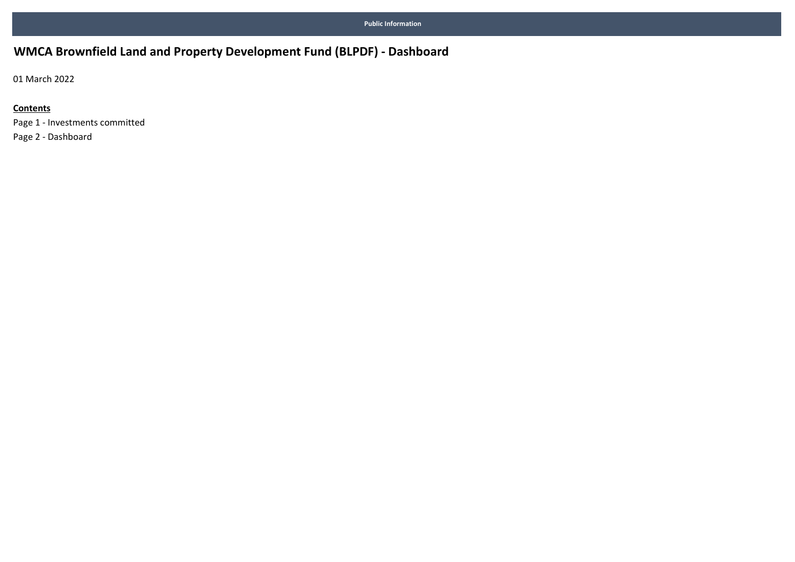# WMCA Brownfield Land and Property Development Fund (BLPDF) - Dashboard

01 March 2022

#### **Contents**

Page 1 - Investments committed Page 2 - Dashboard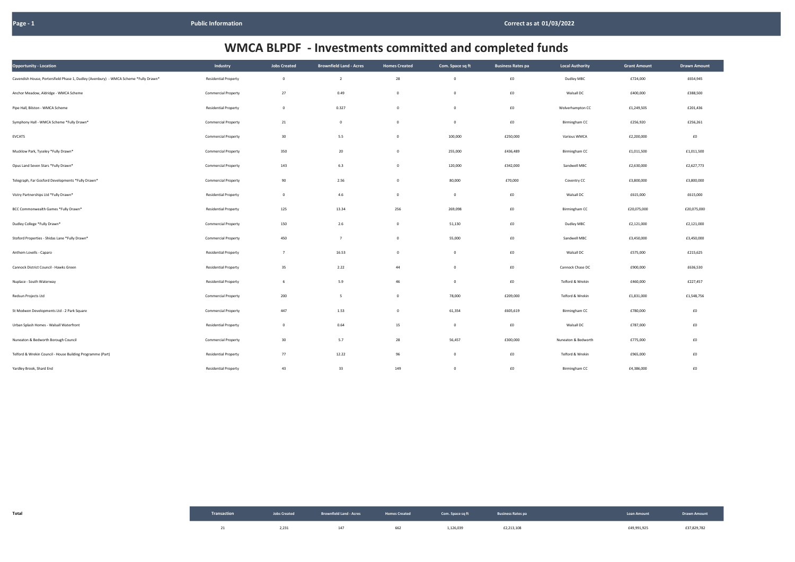| Opportunity - Location                                                               | Industry                    | <b>Jobs Created</b> | <b>Brownfield Land - Acres</b> | <b>Homes Created</b> | Com. Space sq ft | <b>Business Rates pa</b> | <b>Local Authority</b> | <b>Grant Amount</b> | <b>Drawn Amount</b> |
|--------------------------------------------------------------------------------------|-----------------------------|---------------------|--------------------------------|----------------------|------------------|--------------------------|------------------------|---------------------|---------------------|
| Cavendish House, Portersfield Phase 1, Dudley (Avenbury) - WMCA Scheme *Fully Drawn* | <b>Residential Property</b> | $\overline{0}$      | $\overline{2}$                 | 28                   | $\mathbf 0$      | $\pmb{\text{f0}}$        | Dudley MBC             | £724,000            | £654,945            |
| Anchor Meadow, Aldridge - WMCA Scheme                                                | <b>Commercial Property</b>  | 27                  | 0.49                           | $\overline{0}$       | $\mathbf 0$      | $\pmb{\text{f0}}$        | Walsall DC             | £400,000            | £388,500            |
| Pipe Hall, Bilston - WMCA Scheme                                                     | <b>Residential Property</b> | $\overline{0}$      | 0.327                          | $\mathbf 0$          | $\mathsf 0$      | $\pmb{\text{f0}}$        | Wolverhampton CC       | £1,249,505          | £201,436            |
| Symphony Hall - WMCA Scheme *Fully Drawn*                                            | <b>Commercial Property</b>  | 21                  | $\mathbf 0$                    | $\mathbf 0$          | $\mathbf 0$      | $\pmb{\text{f0}}$        | Birmingham CC          | £256,920            | £256,261            |
| <b>EVCATS</b>                                                                        | <b>Commercial Property</b>  | 30                  | 5.5                            | $\overline{0}$       | 100,000          | £250,000                 | Various WMCA           | £2,200,000          | $\pmb{\text{f0}}$   |
| Mucklow Park, Tyseley *Fully Drawn*                                                  | <b>Commercial Property</b>  | 350                 | 20                             | $\mathsf 0$          | 255,000          | £436,489                 | Birmingham CC          | £1,011,500          | £1,011,500          |
| Opus Land Seven Stars *Fully Drawn*                                                  | <b>Commercial Property</b>  | 143                 | 6.3                            | $\overline{0}$       | 120,000          | £342,000                 | Sandwell MBC           | £2,630,000          | £2,627,773          |
| Telegraph, Far Gosford Developments *Fully Drawn*                                    | <b>Commercial Property</b>  | 90                  | 2.56                           | $\mathbf 0$          | 80,000           | £70,000                  | Coventry CC            | £3,800,000          | £3,800,000          |
| Vistry Partnerships Ltd *Fully Drawn*                                                | <b>Residential Property</b> | $\overline{0}$      | 4.6                            | $\overline{0}$       | $\mathbf 0$      | $\pmb{\text{f0}}$        | Walsall DC             | £615,000            | £615,000            |
| BCC Commonwealth Games *Fully Drawn*                                                 | <b>Residential Property</b> | 125                 | 13.34                          | 256                  | 269,098          | $\pmb{\text{f0}}$        | Birmingham CC          | £20,075,000         | £20,075,000         |
| Dudley College *Fully Drawn*                                                         | <b>Commercial Property</b>  | 150                 | 2.6                            | $\overline{0}$       | 51,130           | $\pmb{\text{f0}}$        | Dudley MBC             | £2,121,000          | £2,121,000          |
| Stoford Properties - Shidas Lane *Fully Drawn*                                       | <b>Commercial Property</b>  | 450                 | $\overline{7}$                 | $\overline{0}$       | 55,000           | $\pmb{\text{f0}}$        | Sandwell MBC           | £3,450,000          | £3,450,000          |
| Anthem Lovells - Caparo                                                              | <b>Residential Property</b> | $\overline{7}$      | 16.53                          | $\overline{0}$       | $\mathbf 0$      | $\pmb{\text{f0}}$        | Walsall DC             | £575,000            | £215,625            |
| Cannock District Council - Hawks Green                                               | <b>Residential Property</b> | 35                  | 2.22                           | 44                   | $\mathbf 0$      | $\pmb{\text{f0}}$        | Cannock Chase DC       | £900,000            | £636,530            |
| Nuplace - South Waterway                                                             | <b>Residential Property</b> | 6                   | 5.9                            | 46                   | $\mathbf 0$      | $\pmb{\text{f0}}$        | Telford & Wrekin       | £460,000            | £227,457            |
| Redsun Projects Ltd                                                                  | <b>Commercial Property</b>  | 200                 | 5                              | $\overline{0}$       | 78,000           | £209,000                 | Telford & Wrekin       | £1,831,000          | £1,548,756          |
| St Modwen Developments Ltd - 2 Park Square                                           | <b>Commercial Property</b>  | 447                 | 1.53                           | $\overline{0}$       | 61,354           | £605,619                 | Birmingham CC          | £780,000            | £0                  |
| Urban Splash Homes - Walsall Waterfront                                              | <b>Residential Property</b> | $\overline{0}$      | 0.64                           | 15                   | $\mathbf 0$      | $\pmb{\text{f0}}$        | Walsall DC             | £787,000            | $\pmb{\text{f0}}$   |
| Nuneaton & Bedworth Borough Council                                                  | <b>Commercial Property</b>  | 30                  | 5.7                            | 28                   | 56,457           | £300,000                 | Nuneaton & Bedworth    | £775,000            | £0                  |
| Telford & Wrekin Council - House Building Programme (Part)                           | <b>Residential Property</b> | 77                  | 12.22                          | 96                   | $\mathbf 0$      | £0                       | Telford & Wrekin       | £965,000            | £0                  |
| Yardley Brook, Shard End                                                             | <b>Residential Property</b> | 43                  | 33                             | 149                  | $\mathbf{0}$     | $\pmb{\text{f0}}$        | Birmingham CC          | £4,386,000          | £0                  |

| Total |       | Transaction <b>Solution Constant Constant Constant Constant Constant Constant Constant Constant Constant Constant Constant Constant Constant Constant Constant Constant Constant Constant Constant Constant Constant Constant Co</b> |     |           |            |             | Loan Amount <b>Example 10 Dealer 10 Prawn Amount</b> |
|-------|-------|--------------------------------------------------------------------------------------------------------------------------------------------------------------------------------------------------------------------------------------|-----|-----------|------------|-------------|------------------------------------------------------|
|       | 2,231 | 147                                                                                                                                                                                                                                  | 662 | 1,126,039 | £2,213,108 | £49,991,925 | £37,829,782                                          |

| <b>Grant Amount</b> | <b>Drawn Amount</b> |  |  |
|---------------------|---------------------|--|--|
| £724,000            | £654,945            |  |  |
| £400,000            | £388,500            |  |  |
| £1,249,505          | £201,436            |  |  |
| £256,920            | £256,261            |  |  |
| £2,200,000          | £0                  |  |  |
| £1,011,500          | £1,011,500          |  |  |
| £2,630,000          | £2,627,773          |  |  |
| £3,800,000          | £3,800,000          |  |  |
| £615,000            | £615,000            |  |  |
| £20,075,000         | £20,075,000         |  |  |
| £2,121,000          | £2,121,000          |  |  |
| £3,450,000          | £3,450,000          |  |  |
| £575,000            | £215,625            |  |  |
| £900,000            | £636,530            |  |  |
| £460,000            | £227,457            |  |  |
| £1,831,000          | £1,548,756          |  |  |
| £780,000            | £0                  |  |  |
| £787,000            | £0                  |  |  |
| £775,000            | £0                  |  |  |
| £965,000            | £0                  |  |  |
| £4,386,000          | £0                  |  |  |

# WMCA BLPDF - Investments committed and completed funds